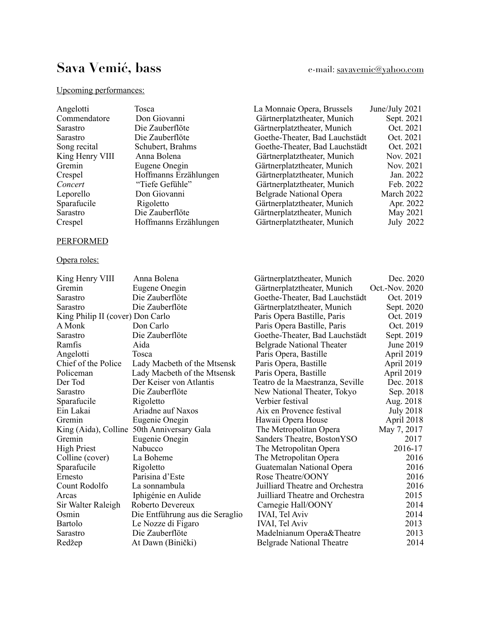# Sava Vemić, bass e-mail: [savavemic@yahoo.com](mailto:savavemic@yahoo.com)

# Upcoming performances:

| Angelotti       | Tosca                 | La Monnaie Opera, Brussels     | June/July 2021 |
|-----------------|-----------------------|--------------------------------|----------------|
| Commendatore    | Don Giovanni          | Gärtnerplatztheater, Munich    | Sept. 2021     |
| Sarastro        | Die Zauberflöte       | Gärtnerplatztheater, Munich    | Oct. 2021      |
| Sarastro        | Die Zauberflöte       | Goethe-Theater, Bad Lauchstädt | Oct. 2021      |
| Song recital    | Schubert, Brahms      | Goethe-Theater, Bad Lauchstädt | Oct. 2021      |
| King Henry VIII | Anna Bolena           | Gärtnerplatztheater, Munich    | Nov. 2021      |
| Gremin          | Eugene Onegin         | Gärtnerplatztheater, Munich    | Nov. 2021      |
| Crespel         | Hoffmanns Erzählungen | Gärtnerplatztheater, Munich    | Jan. 2022      |
| Concert         | "Tiefe Gefühle"       | Gärtnerplatztheater, Munich    | Feb. 2022      |
| Leporello       | Don Giovanni          | <b>Belgrade National Opera</b> | March 2022     |
| Sparafucile     | Rigoletto             | Gärtnerplatztheater, Munich    | Apr. 2022      |
| Sarastro        | Die Zauberflöte       | Gärtnerplatztheater, Munich    | May 2021       |
| Crespel         | Hoffmanns Erzählungen | Gärtnerplatztheater, Munich    | July 2022      |

# PERFORMED

# Opera roles:

| King Henry VIII                  | Anna Bolena                                | Gärtnerplatztheater, Munich      | Dec. 2020        |
|----------------------------------|--------------------------------------------|----------------------------------|------------------|
| Gremin                           | Eugene Onegin                              | Gärtnerplatztheater, Munich      | Oct.-Nov. 2020   |
| Sarastro                         | Die Zauberflöte                            | Goethe-Theater, Bad Lauchstädt   | Oct. 2019        |
| Sarastro                         | Die Zauberflöte                            | Gärtnerplatztheater, Munich      | Sept. 2020       |
| King Philip II (cover) Don Carlo |                                            | Paris Opera Bastille, Paris      | Oct. 2019        |
| A Monk                           | Don Carlo                                  | Paris Opera Bastille, Paris      | Oct. 2019        |
| Sarastro                         | Die Zauberflöte                            | Goethe-Theater, Bad Lauchstädt   | Sept. 2019       |
| Ramfis                           | Aida                                       | <b>Belgrade National Theater</b> | June 2019        |
| Angelotti                        | Tosca                                      | Paris Opera, Bastille            | April 2019       |
| Chief of the Police              | Lady Macbeth of the Mtsensk                | Paris Opera, Bastille            | April 2019       |
| Policeman                        | Lady Macbeth of the Mtsensk                | Paris Opera, Bastille            | April 2019       |
| Der Tod                          | Der Keiser von Atlantis                    | Teatro de la Maestranza, Seville | Dec. 2018        |
| Sarastro                         | Die Zauberflöte                            | New National Theater, Tokyo      | Sep. 2018        |
| Sparafucile                      | Rigoletto                                  | Verbier festival                 | Aug. 2018        |
| Ein Lakai                        | Ariadne auf Naxos                          | Aix en Provence festival         | <b>July 2018</b> |
| Gremin                           | Eugenie Onegin                             | Hawaii Opera House               | April 2018       |
|                                  | King (Aida), Colline 50th Anniversary Gala | The Metropolitan Opera           | May 7, 2017      |
| Gremin                           | Eugenie Onegin                             | Sanders Theatre, BostonYSO       | 2017             |
| High Priest                      | Nabucco                                    | The Metropolitan Opera           | 2016-17          |
| Colline (cover)                  | La Boheme                                  | The Metropolitan Opera           | 2016             |
| Sparafucile                      | Rigoletto                                  | Guatemalan National Opera        | 2016             |
| Ernesto                          | Parisina d'Este                            | Rose Theatre/OONY                | 2016             |
| Count Rodolfo                    | La sonnambula                              | Juilliard Theatre and Orchestra  | 2016             |
| Arcas                            | Iphigénie en Aulide                        | Juilliard Theatre and Orchestra  | 2015             |
| Sir Walter Raleigh               | Roberto Devereux                           | Carnegie Hall/OONY               | 2014             |
| Osmin                            | Die Entführung aus die Seraglio            | <b>IVAI, Tel Aviv</b>            | 2014             |
| Bartolo                          | Le Nozze di Figaro                         | <b>IVAI, Tel Aviv</b>            | 2013             |
| Sarastro                         | Die Zauberflöte                            | Madelnianum Opera&Theatre        | 2013             |
| Redžep                           | At Dawn (Binički)                          | <b>Belgrade National Theatre</b> | 2014             |